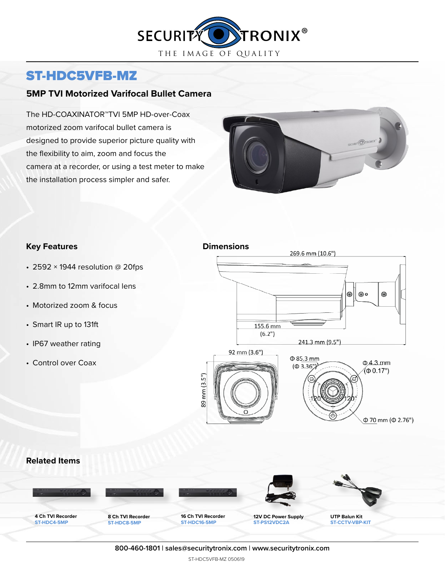

# ST-HDC5VFB-MZ

## **5MP TVI Motorized Varifocal Bullet Camera**

The HD-COAXINATOR™TVI 5MP HD-over-Coax motorized zoom varifocal bullet camera is designed to provide superior picture quality with the flexibility to aim, zoom and focus the camera at a recorder, or using a test meter to make the installation process simpler and safer.



### **Key Features Dimensions**

- 2592  $\times$  1944 resolution @ 20fps
- 2.8mm to 12mm varifocal lens
- Motorized zoom & focus
- Smart IR up to 131ft
- IP67 weather rating
- Control over Coax